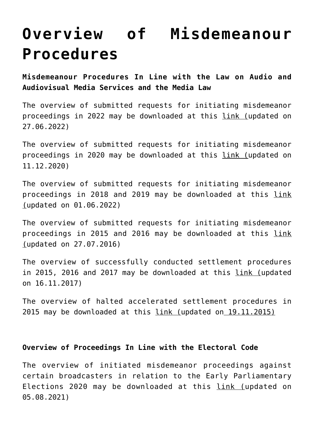## **[Overview of Misdemeanour](https://avmu.mk/en/overview-of-misdemeanour-procedures/) [Procedures](https://avmu.mk/en/overview-of-misdemeanour-procedures/)**

**Misdemeanour Procedures In Line with the Law on Audio and Audiovisual Media Services and the Media Law**

The overview of submitted requests for initiating misdemeanor proceedings in 2022 may be downloaded at this [link](https://avmu.mk/wp-content/uploads/2022/06/%D0%9F%D1%80%D0%B5%D0%B3%D0%BB%D0%B5%D0%B4-%D0%BF%D0%BE%D1%81%D1%82%D0%B0%D0%BF%D0%BA%D0%B8-%D0%B7%D0%B0-%D0%BF%D0%BE%D1%80%D0%B0%D0%BC%D0%BD%D1%83%D0%B2%D0%B0%D1%9A%D0%B5-%D0%BF%D1%80%D0%B5%D0%BA%D1%80%D1%88%D0%BE%D1%87%D0%BD%D0%B8-%D0%BF%D0%BE%D1%81%D1%82%D0%B0%D0%BF%D0%BA%D0%B8-%D0%BF%D0%BE-%D0%97%D0%90%D0%92%D0%9C%D0%A3-%D0%B8-%D0%97%D0%9C-2022-%D0%B3.-27.06.2022-%D0%B3..xlsx) (updated on 27.06.2022)

The overview of submitted requests for initiating misdemeanor proceedings in 2020 may be downloaded at this [link](https://avmu.mk/wp-content/uploads/2020/12/Postapki-za-poramnuvanje_ZAVMU_ZM_11.12.2020.xlsx) (updated on 11.12.2020)

The overview of submitted requests for initiating misdemeanor proceedings in 2018 and 2019 may be downloaded at this [link](https://avmu.mk/wp-content/uploads/2022/06/Pregled-na-prekrsocni-postapki-po-ZAVMU-i-ZM-2018-2019-01.06.2022-g.xlsx) (updated on 01.06.2022)

The overview of submitted requests for initiating misdemeanor proceedings in 2015 and 2016 may be downloaded at this [link](http://avmu.mk/wp-content/uploads/2017/05/Pregled_na_baranja_za_podnesuvanje_na_prekrshocni_postapki_do_radiodifuzerite_azurirano_26_07_2016.xls) (updated on 27.07.2016)

The overview of successfully conducted settlement procedures in 2015, 2016 and 2017 may be downloaded at this [link](http://avmu.mk/wp-content/uploads/2017/06/Uspeshno_sprovedeni_postapki_za_poramnuvanje_Radiodifuzeri-16_11_2017.xls) (updated on 16.11.2017)

The overview of halted accelerated settlement procedures in 2015 may be downloaded at this [link](http://avmu.mk/wp-content/uploads/2017/05/Pregled_na_zapreni_zabrzani_postapki_za_poramnuvanje__Radiodifuzeri.xls) (updated on 19.11.2015)

## **Overview of Proceedings In Line with the Electoral Code**

The overview of initiated misdemeanor proceedings against certain broadcasters in relation to the Early Parliamentary Elections 2020 may be downloaded at this [link](https://avmu.mk/wp-content/uploads/2021/08/%D0%97%D0%B0%D0%B2%D1%80%D1%88%D0%B5%D0%BD%D0%B8-%D0%BF%D0%BE%D1%81%D1%82%D0%B0%D0%BF%D0%BA%D0%B8-03.08.2021-%D0%98%D0%B7%D0%B1%D0%BE%D1%80%D0%B8-2020-%D0%B3%D0%BE%D0%B4%D0%B8%D0%BD%D0%B0.xlsx) (updated on 05.08.2021)